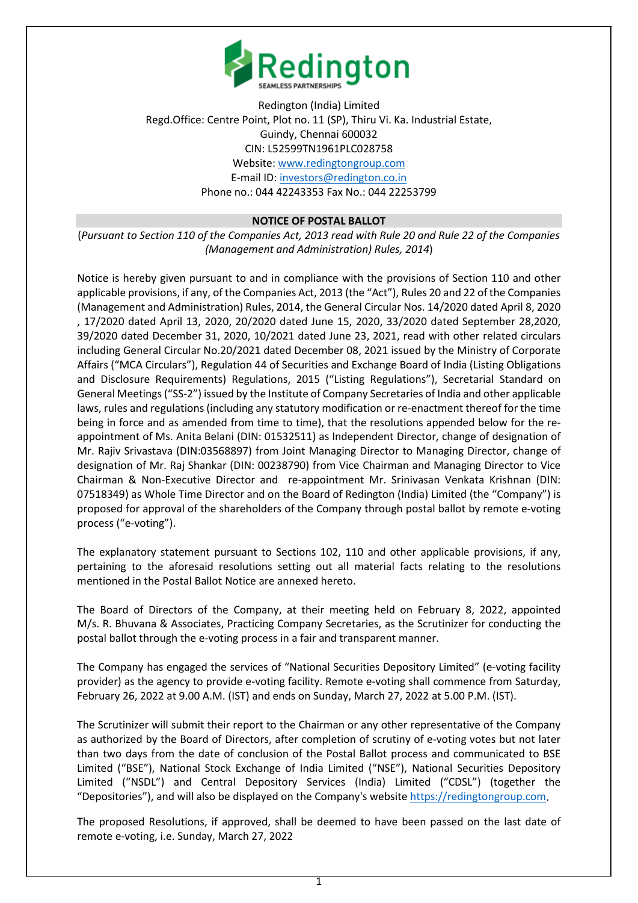

Redington (India) Limited Regd.Office: Centre Point, Plot no. 11 (SP), Thiru Vi. Ka. Industrial Estate, Guindy, Chennai 600032 CIN: L52599TN1961PLC028758 Website[: www.redingtongroup.com](http://www.redingtongroup.com/) E-mail ID: [investors@redington.co.in](mailto:investors@redington.co.in) Phone no.: 044 42243353 Fax No.: 044 22253799

## **NOTICE OF POSTAL BALLOT**

(*Pursuant to Section 110 of the Companies Act, 2013 read with Rule 20 and Rule 22 of the Companies (Management and Administration) Rules, 2014*)

Notice is hereby given pursuant to and in compliance with the provisions of Section 110 and other applicable provisions, if any, of the Companies Act, 2013 (the "Act"), Rules 20 and 22 of the Companies (Management and Administration) Rules, 2014, the General Circular Nos. 14/2020 dated April 8, 2020 , 17/2020 dated April 13, 2020, 20/2020 dated June 15, 2020, 33/2020 dated September 28,2020, 39/2020 dated December 31, 2020, 10/2021 dated June 23, 2021, read with other related circulars including General Circular No.20/2021 dated December 08, 2021 issued by the Ministry of Corporate Affairs ("MCA Circulars"), Regulation 44 of Securities and Exchange Board of India (Listing Obligations and Disclosure Requirements) Regulations, 2015 ("Listing Regulations"), Secretarial Standard on General Meetings ("SS-2") issued by the Institute of Company Secretaries of India and other applicable laws, rules and regulations (including any statutory modification or re-enactment thereof for the time being in force and as amended from time to time), that the resolutions appended below for the reappointment of Ms. Anita Belani (DIN: 01532511) as Independent Director, change of designation of Mr. Rajiv Srivastava (DIN:03568897) from Joint Managing Director to Managing Director, change of designation of Mr. Raj Shankar (DIN: 00238790) from Vice Chairman and Managing Director to Vice Chairman & Non-Executive Director and re-appointment Mr. Srinivasan Venkata Krishnan (DIN: 07518349) as Whole Time Director and on the Board of Redington (India) Limited (the "Company") is proposed for approval of the shareholders of the Company through postal ballot by remote e-voting process ("e-voting").

The explanatory statement pursuant to Sections 102, 110 and other applicable provisions, if any, pertaining to the aforesaid resolutions setting out all material facts relating to the resolutions mentioned in the Postal Ballot Notice are annexed hereto.

The Board of Directors of the Company, at their meeting held on February 8, 2022, appointed M/s. R. Bhuvana & Associates, Practicing Company Secretaries, as the Scrutinizer for conducting the postal ballot through the e-voting process in a fair and transparent manner.

The Company has engaged the services of "National Securities Depository Limited" (e-voting facility provider) as the agency to provide e-voting facility. Remote e-voting shall commence from Saturday, February 26, 2022 at 9.00 A.M. (IST) and ends on Sunday, March 27, 2022 at 5.00 P.M. (IST).

The Scrutinizer will submit their report to the Chairman or any other representative of the Company as authorized by the Board of Directors, after completion of scrutiny of e-voting votes but not later than two days from the date of conclusion of the Postal Ballot process and communicated to BSE Limited ("BSE"), National Stock Exchange of India Limited ("NSE"), National Securities Depository Limited ("NSDL") and Central Depository Services (India) Limited ("CDSL") (together the "Depositories"), and will also be displayed on the Company's website [https://redingtongroup.com.](https://redingtongroup.com/)

The proposed Resolutions, if approved, shall be deemed to have been passed on the last date of remote e-voting, i.e. Sunday, March 27, 2022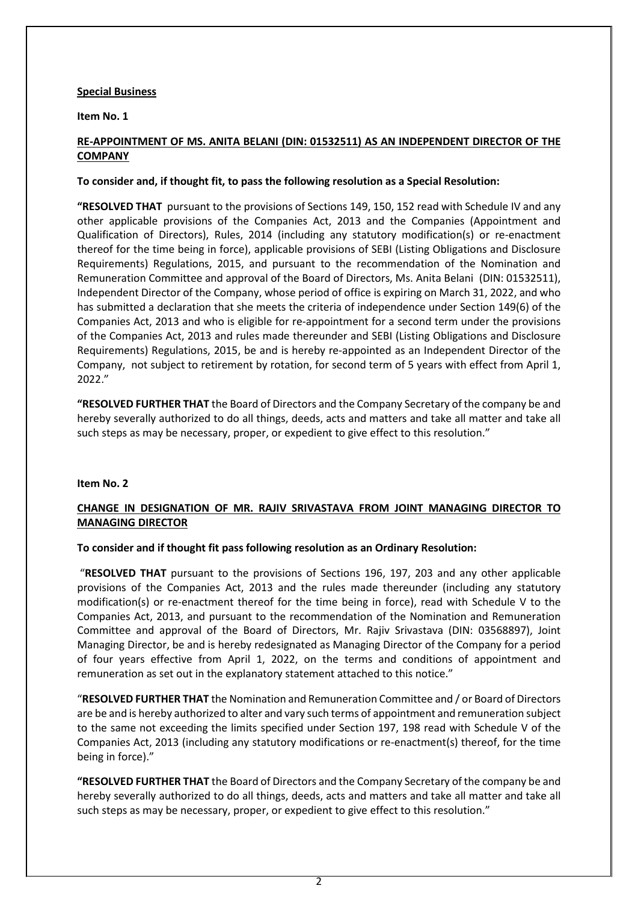## **Special Business**

**Item No. 1** 

# **RE-APPOINTMENT OF MS. ANITA BELANI (DIN: 01532511) AS AN INDEPENDENT DIRECTOR OF THE COMPANY**

## **To consider and, if thought fit, to pass the following resolution as a Special Resolution:**

**"RESOLVED THAT** pursuant to the provisions of Sections 149, 150, 152 read with Schedule IV and any other applicable provisions of the Companies Act, 2013 and the Companies (Appointment and Qualification of Directors), Rules, 2014 (including any statutory modification(s) or re-enactment thereof for the time being in force), applicable provisions of SEBI (Listing Obligations and Disclosure Requirements) Regulations, 2015, and pursuant to the recommendation of the Nomination and Remuneration Committee and approval of the Board of Directors, Ms. Anita Belani (DIN: 01532511), Independent Director of the Company, whose period of office is expiring on March 31, 2022, and who has submitted a declaration that she meets the criteria of independence under Section 149(6) of the Companies Act, 2013 and who is eligible for re-appointment for a second term under the provisions of the Companies Act, 2013 and rules made thereunder and SEBI (Listing Obligations and Disclosure Requirements) Regulations, 2015, be and is hereby re-appointed as an Independent Director of the Company, not subject to retirement by rotation, for second term of 5 years with effect from April 1, 2022."

**"RESOLVED FURTHER THAT** the Board of Directors and the Company Secretary of the company be and hereby severally authorized to do all things, deeds, acts and matters and take all matter and take all such steps as may be necessary, proper, or expedient to give effect to this resolution."

## **Item No. 2**

# **CHANGE IN DESIGNATION OF MR. RAJIV SRIVASTAVA FROM JOINT MANAGING DIRECTOR TO MANAGING DIRECTOR**

## **To consider and if thought fit pass following resolution as an Ordinary Resolution:**

"**RESOLVED THAT** pursuant to the provisions of Sections 196, 197, 203 and any other applicable provisions of the Companies Act, 2013 and the rules made thereunder (including any statutory modification(s) or re-enactment thereof for the time being in force), read with Schedule V to the Companies Act, 2013, and pursuant to the recommendation of the Nomination and Remuneration Committee and approval of the Board of Directors, Mr. Rajiv Srivastava (DIN: 03568897), Joint Managing Director, be and is hereby redesignated as Managing Director of the Company for a period of four years effective from April 1, 2022, on the terms and conditions of appointment and remuneration as set out in the explanatory statement attached to this notice."

"**RESOLVED FURTHER THAT** the Nomination and Remuneration Committee and / or Board of Directors are be and is hereby authorized to alter and vary such terms of appointment and remuneration subject to the same not exceeding the limits specified under Section 197, 198 read with Schedule V of the Companies Act, 2013 (including any statutory modifications or re-enactment(s) thereof, for the time being in force)."

**"RESOLVED FURTHER THAT** the Board of Directors and the Company Secretary of the company be and hereby severally authorized to do all things, deeds, acts and matters and take all matter and take all such steps as may be necessary, proper, or expedient to give effect to this resolution."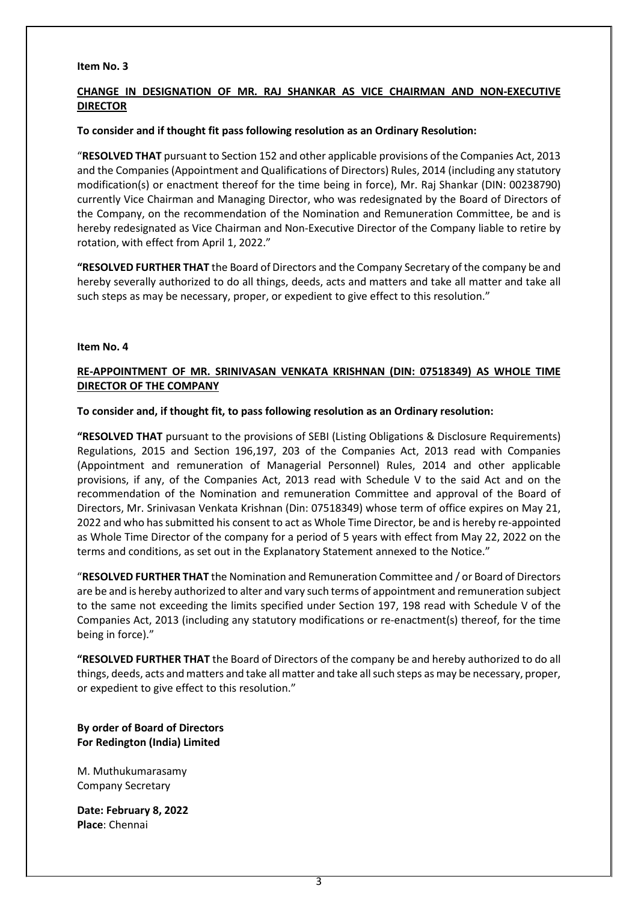#### **Item No. 3**

# **CHANGE IN DESIGNATION OF MR. RAJ SHANKAR AS VICE CHAIRMAN AND NON-EXECUTIVE DIRECTOR**

#### **To consider and if thought fit pass following resolution as an Ordinary Resolution:**

"**RESOLVED THAT** pursuant to Section 152 and other applicable provisions of the Companies Act, 2013 and the Companies (Appointment and Qualifications of Directors) Rules, 2014 (including any statutory modification(s) or enactment thereof for the time being in force), Mr. Raj Shankar (DIN: 00238790) currently Vice Chairman and Managing Director, who was redesignated by the Board of Directors of the Company, on the recommendation of the Nomination and Remuneration Committee, be and is hereby redesignated as Vice Chairman and Non-Executive Director of the Company liable to retire by rotation, with effect from April 1, 2022."

**"RESOLVED FURTHER THAT** the Board of Directors and the Company Secretary of the company be and hereby severally authorized to do all things, deeds, acts and matters and take all matter and take all such steps as may be necessary, proper, or expedient to give effect to this resolution."

#### **Item No. 4**

## **RE-APPOINTMENT OF MR. SRINIVASAN VENKATA KRISHNAN (DIN: 07518349) AS WHOLE TIME DIRECTOR OF THE COMPANY**

#### **To consider and, if thought fit, to pass following resolution as an Ordinary resolution:**

**"RESOLVED THAT** pursuant to the provisions of SEBI (Listing Obligations & Disclosure Requirements) Regulations, 2015 and Section 196,197, 203 of the Companies Act, 2013 read with Companies (Appointment and remuneration of Managerial Personnel) Rules, 2014 and other applicable provisions, if any, of the Companies Act, 2013 read with Schedule V to the said Act and on the recommendation of the Nomination and remuneration Committee and approval of the Board of Directors, Mr. Srinivasan Venkata Krishnan (Din: 07518349) whose term of office expires on May 21, 2022 and who has submitted his consent to act as Whole Time Director, be and is hereby re-appointed as Whole Time Director of the company for a period of 5 years with effect from May 22, 2022 on the terms and conditions, as set out in the Explanatory Statement annexed to the Notice."

"**RESOLVED FURTHER THAT** the Nomination and Remuneration Committee and / or Board of Directors are be and is hereby authorized to alter and vary such terms of appointment and remuneration subject to the same not exceeding the limits specified under Section 197, 198 read with Schedule V of the Companies Act, 2013 (including any statutory modifications or re-enactment(s) thereof, for the time being in force)."

**"RESOLVED FURTHER THAT** the Board of Directors of the company be and hereby authorized to do all things, deeds, acts and matters and take all matter and take all such steps as may be necessary, proper, or expedient to give effect to this resolution."

**By order of Board of Directors For Redington (India) Limited**

M. Muthukumarasamy Company Secretary

**Date: February 8, 2022 Place**: Chennai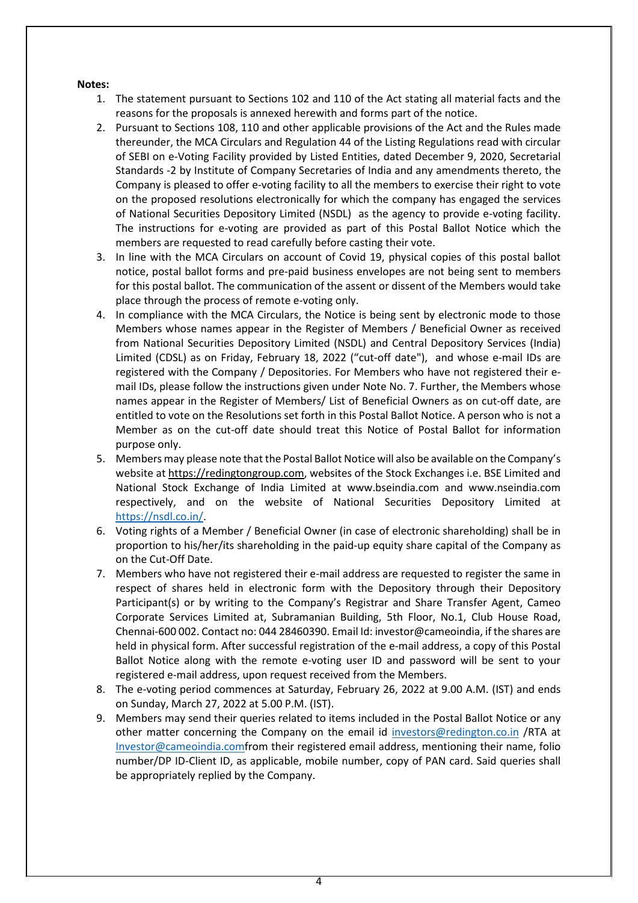#### **Notes:**

- 1. The statement pursuant to Sections 102 and 110 of the Act stating all material facts and the reasons for the proposals is annexed herewith and forms part of the notice.
- 2. Pursuant to Sections 108, 110 and other applicable provisions of the Act and the Rules made thereunder, the MCA Circulars and Regulation 44 of the Listing Regulations read with circular of SEBI on e-Voting Facility provided by Listed Entities, dated December 9, 2020, Secretarial Standards -2 by Institute of Company Secretaries of India and any amendments thereto, the Company is pleased to offer e-voting facility to all the members to exercise their right to vote on the proposed resolutions electronically for which the company has engaged the services of National Securities Depository Limited (NSDL) as the agency to provide e-voting facility. The instructions for e-voting are provided as part of this Postal Ballot Notice which the members are requested to read carefully before casting their vote.
- 3. In line with the MCA Circulars on account of Covid 19, physical copies of this postal ballot notice, postal ballot forms and pre-paid business envelopes are not being sent to members for this postal ballot. The communication of the assent or dissent of the Members would take place through the process of remote e-voting only.
- 4. In compliance with the MCA Circulars, the Notice is being sent by electronic mode to those Members whose names appear in the Register of Members / Beneficial Owner as received from National Securities Depository Limited (NSDL) and Central Depository Services (India) Limited (CDSL) as on Friday, February 18, 2022 ("cut-off date"), and whose e-mail IDs are registered with the Company / Depositories. For Members who have not registered their email IDs, please follow the instructions given under Note No. 7. Further, the Members whose names appear in the Register of Members/ List of Beneficial Owners as on cut-off date, are entitled to vote on the Resolutions set forth in this Postal Ballot Notice. A person who is not a Member as on the cut-off date should treat this Notice of Postal Ballot for information purpose only.
- 5. Members may please note that the Postal Ballot Notice will also be available on the Company's website at [https://redingtongroup.com,](https://redingtongroup.com/) websites of the Stock Exchanges i.e. BSE Limited and National Stock Exchange of India Limited at www.bseindia.com and www.nseindia.com respectively, and on the website of National Securities Depository Limited at [https://nsdl.co.in/.](https://nsdl.co.in/)
- 6. Voting rights of a Member / Beneficial Owner (in case of electronic shareholding) shall be in proportion to his/her/its shareholding in the paid-up equity share capital of the Company as on the Cut-Off Date.
- 7. Members who have not registered their e-mail address are requested to register the same in respect of shares held in electronic form with the Depository through their Depository Participant(s) or by writing to the Company's Registrar and Share Transfer Agent, Cameo Corporate Services Limited at, Subramanian Building, 5th Floor, No.1, Club House Road, Chennai-600 002. Contact no: 044 28460390. Email Id: investor@cameoindia, if the shares are held in physical form. After successful registration of the e-mail address, a copy of this Postal Ballot Notice along with the remote e-voting user ID and password will be sent to your registered e-mail address, upon request received from the Members.
- 8. The e-voting period commences at Saturday, February 26, 2022 at 9.00 A.M. (IST) and ends on Sunday, March 27, 2022 at 5.00 P.M. (IST).
- 9. Members may send their queries related to items included in the Postal Ballot Notice or any other matter concerning the Company on the email id [investors@redington.co.in](mailto:investors@redington.co.in) /RTA at [Investor@cameoindia.comf](mailto:Investor@cameoindia.com)rom their registered email address, mentioning their name, folio number/DP ID-Client ID, as applicable, mobile number, copy of PAN card. Said queries shall be appropriately replied by the Company.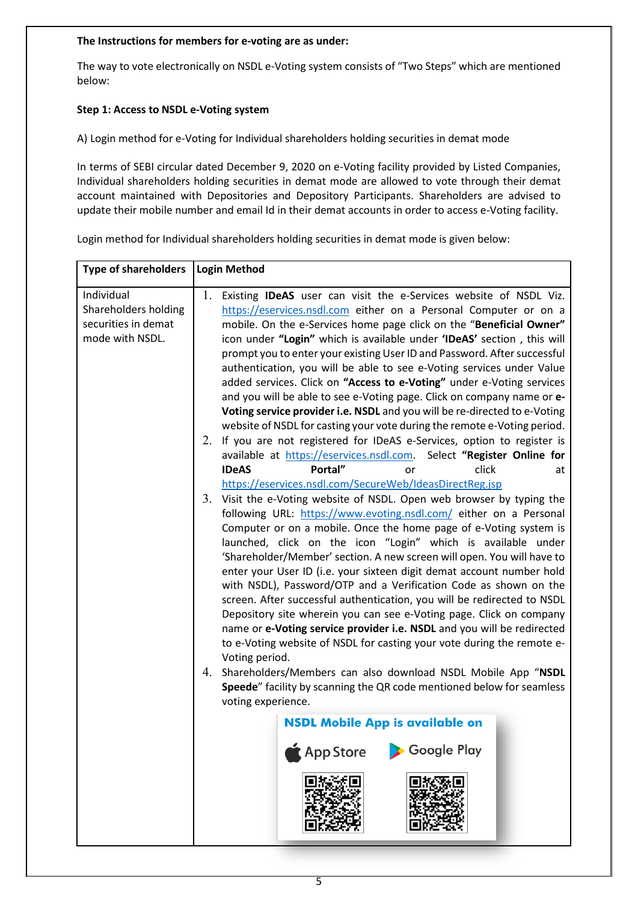## **The Instructions for members for e-voting are as under:**

The way to vote electronically on NSDL e-Voting system consists of "Two Steps" which are mentioned below:

# **Step 1: Access to NSDL e-Voting system**

A) Login method for e-Voting for Individual shareholders holding securities in demat mode

In terms of SEBI circular dated December 9, 2020 on e-Voting facility provided by Listed Companies, Individual shareholders holding securities in demat mode are allowed to vote through their demat account maintained with Depositories and Depository Participants. Shareholders are advised to update their mobile number and email Id in their demat accounts in order to access e-Voting facility.

Login method for Individual shareholders holding securities in demat mode is given below: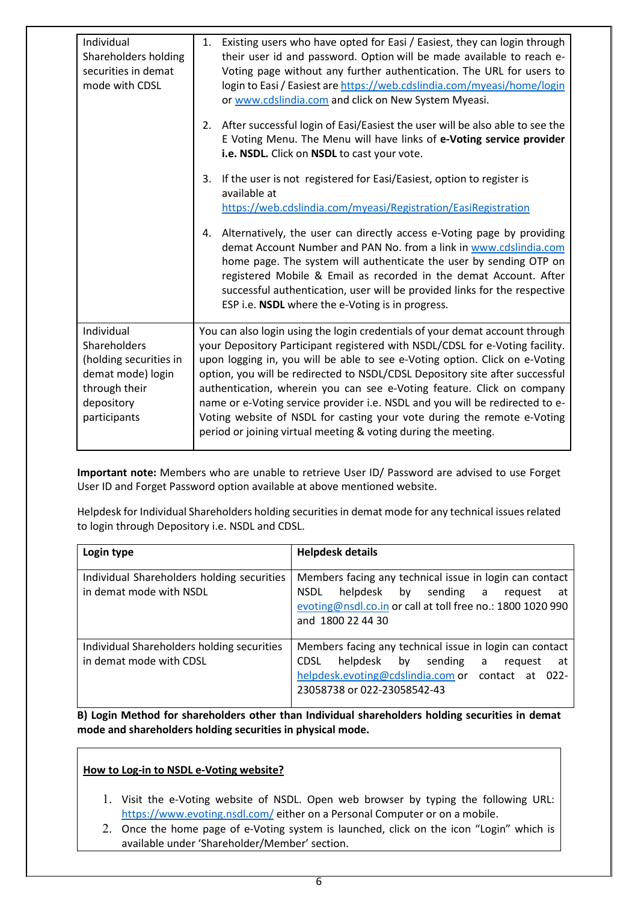| Individual<br>Shareholders holding<br>securities in demat<br>mode with CDSL                                              | Existing users who have opted for Easi / Easiest, they can login through<br>1.<br>their user id and password. Option will be made available to reach e-<br>Voting page without any further authentication. The URL for users to<br>login to Easi / Easiest are https://web.cdslindia.com/myeasi/home/login<br>or www.cdslindia.com and click on New System Myeasi.                                                                                                                                                                                                                                                                 |
|--------------------------------------------------------------------------------------------------------------------------|------------------------------------------------------------------------------------------------------------------------------------------------------------------------------------------------------------------------------------------------------------------------------------------------------------------------------------------------------------------------------------------------------------------------------------------------------------------------------------------------------------------------------------------------------------------------------------------------------------------------------------|
|                                                                                                                          | 2. After successful login of Easi/Easiest the user will be also able to see the<br>E Voting Menu. The Menu will have links of e-Voting service provider<br>i.e. NSDL. Click on NSDL to cast your vote.                                                                                                                                                                                                                                                                                                                                                                                                                             |
|                                                                                                                          | If the user is not registered for Easi/Easiest, option to register is<br>3.<br>available at<br>https://web.cdslindia.com/myeasi/Registration/EasiRegistration                                                                                                                                                                                                                                                                                                                                                                                                                                                                      |
|                                                                                                                          | Alternatively, the user can directly access e-Voting page by providing<br>4.<br>demat Account Number and PAN No. from a link in www.cdslindia.com<br>home page. The system will authenticate the user by sending OTP on<br>registered Mobile & Email as recorded in the demat Account. After<br>successful authentication, user will be provided links for the respective<br>ESP i.e. NSDL where the e-Voting is in progress.                                                                                                                                                                                                      |
| Individual<br>Shareholders<br>(holding securities in<br>demat mode) login<br>through their<br>depository<br>participants | You can also login using the login credentials of your demat account through<br>your Depository Participant registered with NSDL/CDSL for e-Voting facility.<br>upon logging in, you will be able to see e-Voting option. Click on e-Voting<br>option, you will be redirected to NSDL/CDSL Depository site after successful<br>authentication, wherein you can see e-Voting feature. Click on company<br>name or e-Voting service provider i.e. NSDL and you will be redirected to e-<br>Voting website of NSDL for casting your vote during the remote e-Voting<br>period or joining virtual meeting & voting during the meeting. |

**Important note:** Members who are unable to retrieve User ID/ Password are advised to use Forget User ID and Forget Password option available at above mentioned website.

Helpdesk for Individual Shareholders holding securities in demat mode for any technical issues related to login through Depository i.e. NSDL and CDSL.

| Login type                                                            | <b>Helpdesk details</b>                                                                                                                                                                                 |
|-----------------------------------------------------------------------|---------------------------------------------------------------------------------------------------------------------------------------------------------------------------------------------------------|
| Individual Shareholders holding securities<br>in demat mode with NSDL | Members facing any technical issue in login can contact<br>helpdesk by sending a<br><b>NSDL</b><br>request<br>at<br>evoting@nsdl.co.in or call at toll free no.: 1800 1020 990<br>and 1800 22 44 30     |
| Individual Shareholders holding securities<br>in demat mode with CDSL | Members facing any technical issue in login can contact<br>helpdesk by sending<br><b>CDSL</b><br>a<br>reguest<br>at<br>helpdesk.evoting@cdslindia.com or contact at 022-<br>23058738 or 022-23058542-43 |

**B) Login Method for shareholders other than Individual shareholders holding securities in demat mode and shareholders holding securities in physical mode.**

# **How to Log-in to NSDL e-Voting website?**

- 1. Visit the e-Voting website of NSDL. Open web browser by typing the following URL: <https://www.evoting.nsdl.com/> either on a Personal Computer or on a mobile.
- 2. Once the home page of e-Voting system is launched, click on the icon "Login" which is available under 'Shareholder/Member' section.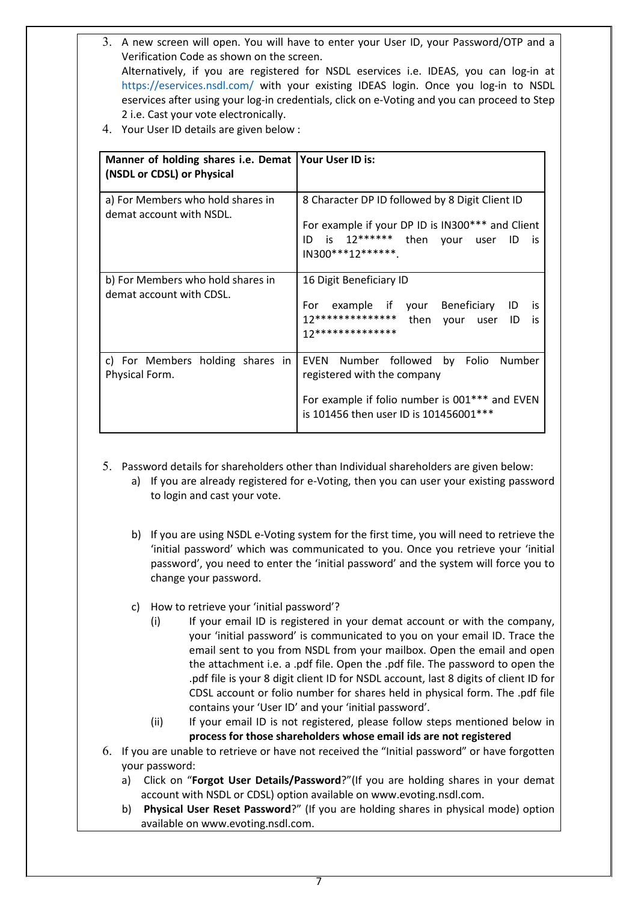- 3. A new screen will open. You will have to enter your User ID, your Password/OTP and a Verification Code as shown on the screen. Alternatively, if you are registered for NSDL eservices i.e. IDEAS, you can log-in at <https://eservices.nsdl.com/> with your existing IDEAS login. Once you log-in to NSDL eservices after using your log-in credentials, click on e-Voting and you can proceed to Step 2 i.e. Cast your vote electronically.
- 4. Your User ID details are given below :

| Manner of holding shares i.e. Demat   Your User ID is:<br>(NSDL or CDSL) or Physical |                                                                                                                                                                  |
|--------------------------------------------------------------------------------------|------------------------------------------------------------------------------------------------------------------------------------------------------------------|
| a) For Members who hold shares in<br>demat account with NSDL.                        | 8 Character DP ID followed by 8 Digit Client ID<br>For example if your DP ID is IN300*** and Client<br>ID is 12****** then your user ID is<br>$IN300***12******$ |
| b) For Members who hold shares in<br>demat account with CDSL.                        | 16 Digit Beneficiary ID<br>For example if your Beneficiary ID is<br>12************** then your user ID<br>is<br>17**************                                 |
| c) For Members holding shares in<br>Physical Form.                                   | EVEN Number followed by Folio Number<br>registered with the company<br>For example if folio number is 001*** and EVEN<br>is 101456 then user ID is 101456001 *** |

- 5. Password details for shareholders other than Individual shareholders are given below:
	- a) If you are already registered for e-Voting, then you can user your existing password to login and cast your vote.
	- b) If you are using NSDL e-Voting system for the first time, you will need to retrieve the 'initial password' which was communicated to you. Once you retrieve your 'initial password', you need to enter the 'initial password' and the system will force you to change your password.
	- c) How to retrieve your 'initial password'?
		- (i) If your email ID is registered in your demat account or with the company, your 'initial password' is communicated to you on your email ID. Trace the email sent to you from NSDL from your mailbox. Open the email and open the attachment i.e. a .pdf file. Open the .pdf file. The password to open the .pdf file is your 8 digit client ID for NSDL account, last 8 digits of client ID for CDSL account or folio number for shares held in physical form. The .pdf file contains your 'User ID' and your 'initial password'.
		- (ii) If your email ID is not registered, please follow steps mentioned below in **process for those shareholders whose email ids are not registered**
- 6. If you are unable to retrieve or have not received the "Initial password" or have forgotten your password:
	- a) Click on "**[Forgot User Details/Password](https://www.evoting.nsdl.com/eVotingWeb/commonhtmls/NewUser.jsp)**?"(If you are holding shares in your demat account with NSDL or CDSL) option available on www.evoting.nsdl.com.
	- b) **[Physical User Reset Password](https://www.evoting.nsdl.com/eVotingWeb/commonhtmls/PhysicalUser.jsp)**?" (If you are holding shares in physical mode) option available on [www.evoting.nsdl.com.](http://www.evoting.nsdl.com/)
		- 7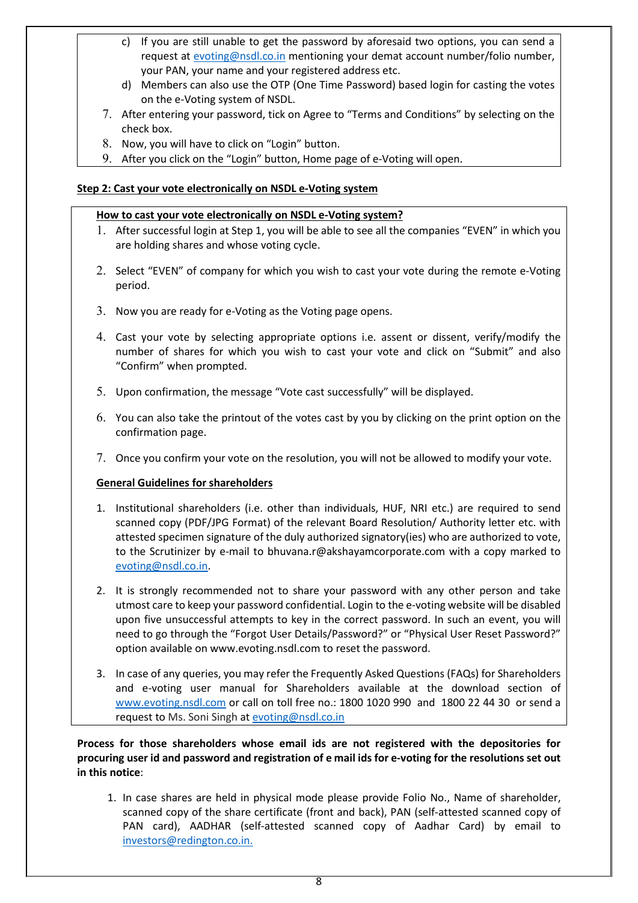- c) If you are still unable to get the password by aforesaid two options, you can send a request at [evoting@nsdl.co.in](mailto:evoting@nsdl.co.in) mentioning your demat account number/folio number, your PAN, your name and your registered address etc.
- d) Members can also use the OTP (One Time Password) based login for casting the votes on the e-Voting system of NSDL.
- 7. After entering your password, tick on Agree to "Terms and Conditions" by selecting on the check box.
- 8. Now, you will have to click on "Login" button.
- 9. After you click on the "Login" button, Home page of e-Voting will open.

# **Step 2: Cast your vote electronically on NSDL e-Voting system**

# **How to cast your vote electronically on NSDL e-Voting system?**

- 1. After successful login at Step 1, you will be able to see all the companies "EVEN" in which you are holding shares and whose voting cycle.
- 2. Select "EVEN" of company for which you wish to cast your vote during the remote e-Voting period.
- 3. Now you are ready for e-Voting as the Voting page opens.
- 4. Cast your vote by selecting appropriate options i.e. assent or dissent, verify/modify the number of shares for which you wish to cast your vote and click on "Submit" and also "Confirm" when prompted.
- 5. Upon confirmation, the message "Vote cast successfully" will be displayed.
- 6. You can also take the printout of the votes cast by you by clicking on the print option on the confirmation page.
- 7. Once you confirm your vote on the resolution, you will not be allowed to modify your vote.

# **General Guidelines for shareholders**

- 1. Institutional shareholders (i.e. other than individuals, HUF, NRI etc.) are required to send scanned copy (PDF/JPG Format) of the relevant Board Resolution/ Authority letter etc. with attested specimen signature of the duly authorized signatory(ies) who are authorized to vote, to the Scrutinizer by e-mail to bhuvana.r@akshayamcorporate.com with a copy marked to [evoting@nsdl.co.in.](mailto:evoting@nsdl.co.in)
- 2. It is strongly recommended not to share your password with any other person and take utmost care to keep your password confidential. Login to the e-voting website will be disabled upon five unsuccessful attempts to key in the correct password. In such an event, you will need to go through the ["Forgot User Details/Password?"](https://www.evoting.nsdl.com/eVotingWeb/commonhtmls/NewUser.jsp) or ["Physical User Reset Password?"](https://www.evoting.nsdl.com/eVotingWeb/commonhtmls/PhysicalUser.jsp) option available on www.evoting.nsdl.com to reset the password.
- 3. In case of any queries, you may refer the Frequently Asked Questions (FAQs) for Shareholders and e-voting user manual for Shareholders available at the download section of [www.evoting.nsdl.com](http://www.evoting.nsdl.com/) or call on toll free no.: 1800 1020 990 and 1800 22 44 30 or send a request to Ms. Soni Singh a[t evoting@nsdl.co.in](mailto:evoting@nsdl.co.in)

**Process for those shareholders whose email ids are not registered with the depositories for procuring user id and password and registration of e mail ids for e-voting for the resolutions set out in this notice**:

1. In case shares are held in physical mode please provide Folio No., Name of shareholder, scanned copy of the share certificate (front and back), PAN (self-attested scanned copy of PAN card), AADHAR (self-attested scanned copy of Aadhar Card) by email to [investors@redington.co.in.](mailto:investors@redington.co.in)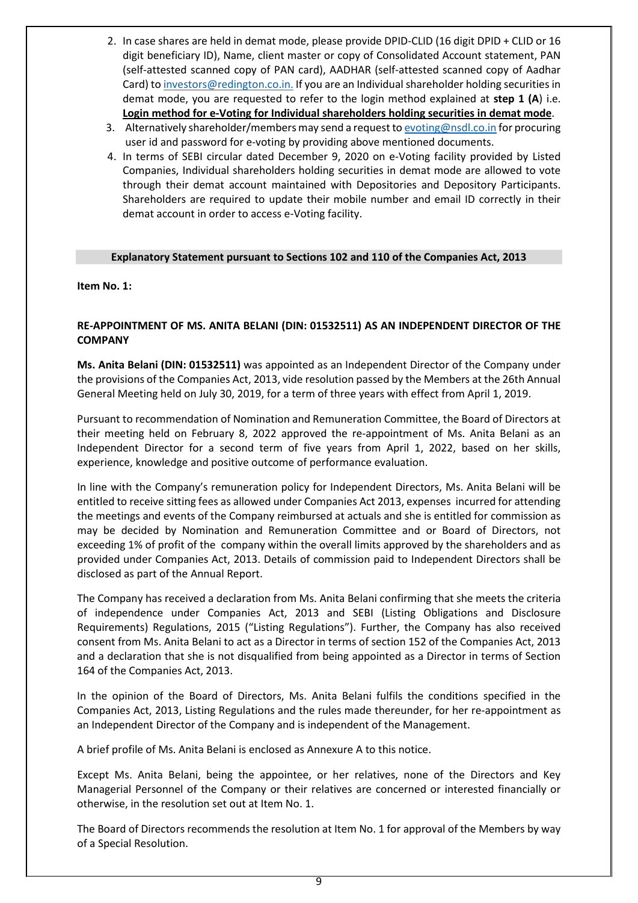- 2. In case shares are held in demat mode, please provide DPID-CLID (16 digit DPID + CLID or 16 digit beneficiary ID), Name, client master or copy of Consolidated Account statement, PAN (self-attested scanned copy of PAN card), AADHAR (self-attested scanned copy of Aadhar Card) t[o investors@redington.co.in.](mailto:investors@redington.co.in) If you are an Individual shareholder holding securities in demat mode, you are requested to refer to the login method explained at **step 1 (A**) i.e. **Login method for e-Voting for Individual shareholders holding securities in demat mode**.
- 3. Alternatively shareholder/members may send a request t[o evoting@nsdl.co.in](mailto:evoting@nsdl.co.in) for procuring user id and password for e-voting by providing above mentioned documents.
- 4. In terms of SEBI circular dated December 9, 2020 on e-Voting facility provided by Listed Companies, Individual shareholders holding securities in demat mode are allowed to vote through their demat account maintained with Depositories and Depository Participants. Shareholders are required to update their mobile number and email ID correctly in their demat account in order to access e-Voting facility.

## **Explanatory Statement pursuant to Sections 102 and 110 of the Companies Act, 2013**

**Item No. 1:**

# **RE-APPOINTMENT OF MS. ANITA BELANI (DIN: 01532511) AS AN INDEPENDENT DIRECTOR OF THE COMPANY**

**Ms. Anita Belani (DIN: 01532511)** was appointed as an Independent Director of the Company under the provisions of the Companies Act, 2013, vide resolution passed by the Members at the 26th Annual General Meeting held on July 30, 2019, for a term of three years with effect from April 1, 2019.

Pursuant to recommendation of Nomination and Remuneration Committee, the Board of Directors at their meeting held on February 8, 2022 approved the re-appointment of Ms. Anita Belani as an Independent Director for a second term of five years from April 1, 2022, based on her skills, experience, knowledge and positive outcome of performance evaluation.

In line with the Company's remuneration policy for Independent Directors, Ms. Anita Belani will be entitled to receive sitting fees as allowed under Companies Act 2013, expenses incurred for attending the meetings and events of the Company reimbursed at actuals and she is entitled for commission as may be decided by Nomination and Remuneration Committee and or Board of Directors, not exceeding 1% of profit of the company within the overall limits approved by the shareholders and as provided under Companies Act, 2013. Details of commission paid to Independent Directors shall be disclosed as part of the Annual Report.

The Company has received a declaration from Ms. Anita Belani confirming that she meets the criteria of independence under Companies Act, 2013 and SEBI (Listing Obligations and Disclosure Requirements) Regulations, 2015 ("Listing Regulations"). Further, the Company has also received consent from Ms. Anita Belani to act as a Director in terms of section 152 of the Companies Act, 2013 and a declaration that she is not disqualified from being appointed as a Director in terms of Section 164 of the Companies Act, 2013.

In the opinion of the Board of Directors, Ms. Anita Belani fulfils the conditions specified in the Companies Act, 2013, Listing Regulations and the rules made thereunder, for her re-appointment as an Independent Director of the Company and is independent of the Management.

A brief profile of Ms. Anita Belani is enclosed as Annexure A to this notice.

Except Ms. Anita Belani, being the appointee, or her relatives, none of the Directors and Key Managerial Personnel of the Company or their relatives are concerned or interested financially or otherwise, in the resolution set out at Item No. 1.

The Board of Directors recommends the resolution at Item No. 1 for approval of the Members by way of a Special Resolution.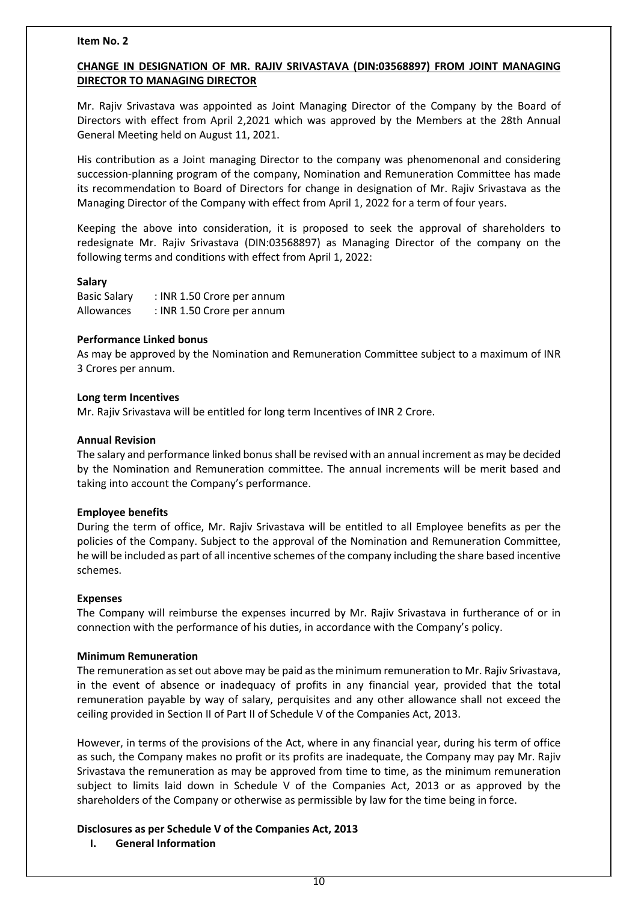#### **Item No. 2**

# **CHANGE IN DESIGNATION OF MR. RAJIV SRIVASTAVA (DIN:03568897) FROM JOINT MANAGING DIRECTOR TO MANAGING DIRECTOR**

Mr. Rajiv Srivastava was appointed as Joint Managing Director of the Company by the Board of Directors with effect from April 2,2021 which was approved by the Members at the 28th Annual General Meeting held on August 11, 2021.

His contribution as a Joint managing Director to the company was phenomenonal and considering succession-planning program of the company, Nomination and Remuneration Committee has made its recommendation to Board of Directors for change in designation of Mr. Rajiv Srivastava as the Managing Director of the Company with effect from April 1, 2022 for a term of four years.

Keeping the above into consideration, it is proposed to seek the approval of shareholders to redesignate Mr. Rajiv Srivastava (DIN:03568897) as Managing Director of the company on the following terms and conditions with effect from April 1, 2022:

#### **Salary**

Basic Salary : INR 1.50 Crore per annum Allowances : INR 1.50 Crore per annum

#### **Performance Linked bonus**

As may be approved by the Nomination and Remuneration Committee subject to a maximum of INR 3 Crores per annum.

#### **Long term Incentives**

Mr. Rajiv Srivastava will be entitled for long term Incentives of INR 2 Crore.

#### **Annual Revision**

The salary and performance linked bonus shall be revised with an annual increment as may be decided by the Nomination and Remuneration committee. The annual increments will be merit based and taking into account the Company's performance.

## **Employee benefits**

During the term of office, Mr. Rajiv Srivastava will be entitled to all Employee benefits as per the policies of the Company. Subject to the approval of the Nomination and Remuneration Committee, he will be included as part of all incentive schemes of the company including the share based incentive schemes.

#### **Expenses**

The Company will reimburse the expenses incurred by Mr. Rajiv Srivastava in furtherance of or in connection with the performance of his duties, in accordance with the Company's policy.

## **Minimum Remuneration**

The remuneration as set out above may be paid as the minimum remuneration to Mr. Rajiv Srivastava, in the event of absence or inadequacy of profits in any financial year, provided that the total remuneration payable by way of salary, perquisites and any other allowance shall not exceed the ceiling provided in Section II of Part II of Schedule V of the Companies Act, 2013.

However, in terms of the provisions of the Act, where in any financial year, during his term of office as such, the Company makes no profit or its profits are inadequate, the Company may pay Mr. Rajiv Srivastava the remuneration as may be approved from time to time, as the minimum remuneration subject to limits laid down in Schedule V of the Companies Act, 2013 or as approved by the shareholders of the Company or otherwise as permissible by law for the time being in force.

## **Disclosures as per Schedule V of the Companies Act, 2013**

**I. General Information**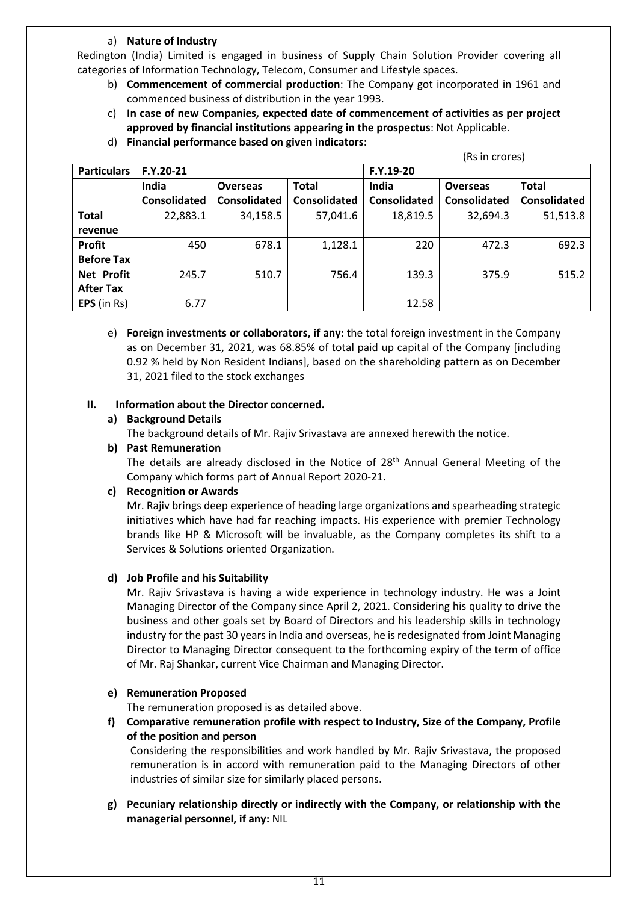# a) **Nature of Industry**

Redington (India) Limited is engaged in business of Supply Chain Solution Provider covering all categories of Information Technology, Telecom, Consumer and Lifestyle spaces.

- b) **Commencement of commercial production**: The Company got incorporated in 1961 and commenced business of distribution in the year 1993.
- c) **In case of new Companies, expected date of commencement of activities as per project approved by financial institutions appearing in the prospectus**: Not Applicable.
- d) **Financial performance based on given indicators:**

|                    | (Rs in crores)      |                 |                     |                     |                     |              |
|--------------------|---------------------|-----------------|---------------------|---------------------|---------------------|--------------|
| <b>Particulars</b> | $F.Y.20-21$         |                 |                     | F.Y.19-20           |                     |              |
|                    | India               | <b>Overseas</b> | <b>Total</b>        | India               | <b>Overseas</b>     | <b>Total</b> |
|                    | <b>Consolidated</b> | Consolidated    | <b>Consolidated</b> | <b>Consolidated</b> | <b>Consolidated</b> | Consolidated |
| <b>Total</b>       | 22,883.1            | 34,158.5        | 57,041.6            | 18,819.5            | 32,694.3            | 51,513.8     |
| revenue            |                     |                 |                     |                     |                     |              |
| Profit             | 450                 | 678.1           | 1,128.1             | 220                 | 472.3               | 692.3        |
| <b>Before Tax</b>  |                     |                 |                     |                     |                     |              |
| Net Profit         | 245.7               | 510.7           | 756.4               | 139.3               | 375.9               | 515.2        |
| <b>After Tax</b>   |                     |                 |                     |                     |                     |              |
| EPS (in Rs)        | 6.77                |                 |                     | 12.58               |                     |              |

e) **Foreign investments or collaborators, if any:** the total foreign investment in the Company as on December 31, 2021, was 68.85% of total paid up capital of the Company [including 0.92 % held by Non Resident Indians], based on the shareholding pattern as on December 31, 2021 filed to the stock exchanges

## **II. Information about the Director concerned.**

**a) Background Details**

The background details of Mr. Rajiv Srivastava are annexed herewith the notice.

**b) Past Remuneration**

The details are already disclosed in the Notice of 28<sup>th</sup> Annual General Meeting of the Company which forms part of Annual Report 2020-21.

# **c) Recognition or Awards**

Mr. Rajiv brings deep experience of heading large organizations and spearheading strategic initiatives which have had far reaching impacts. His experience with premier Technology brands like HP & Microsoft will be invaluable, as the Company completes its shift to a Services & Solutions oriented Organization.

# **d) Job Profile and his Suitability**

Mr. Rajiv Srivastava is having a wide experience in technology industry. He was a Joint Managing Director of the Company since April 2, 2021. Considering his quality to drive the business and other goals set by Board of Directors and his leadership skills in technology industry for the past 30 years in India and overseas, he is redesignated from Joint Managing Director to Managing Director consequent to the forthcoming expiry of the term of office of Mr. Raj Shankar, current Vice Chairman and Managing Director.

## **e) Remuneration Proposed**

The remuneration proposed is as detailed above.

**f) Comparative remuneration profile with respect to Industry, Size of the Company, Profile of the position and person**

Considering the responsibilities and work handled by Mr. Rajiv Srivastava, the proposed remuneration is in accord with remuneration paid to the Managing Directors of other industries of similar size for similarly placed persons.

**g) Pecuniary relationship directly or indirectly with the Company, or relationship with the managerial personnel, if any:** NIL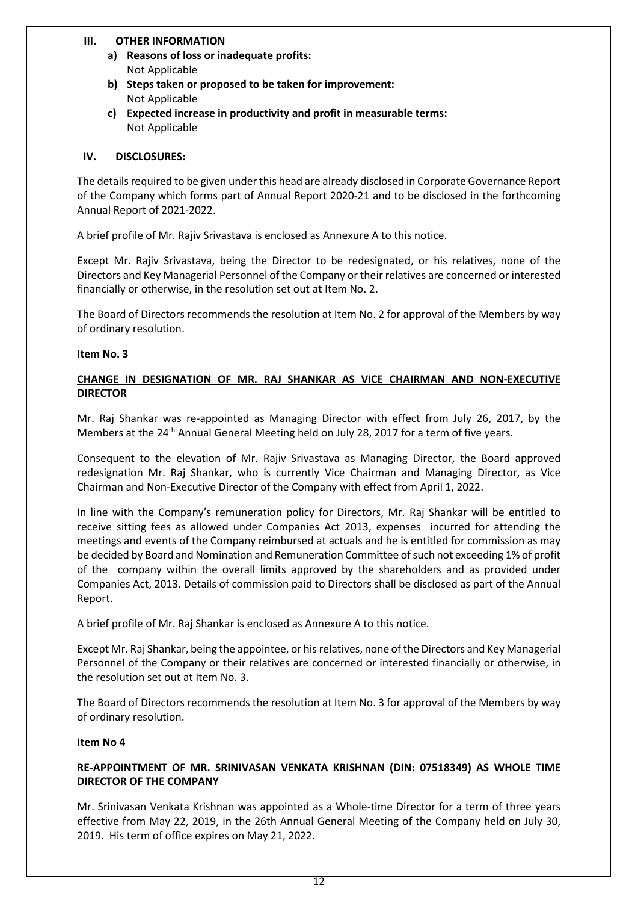## **III. OTHER INFORMATION**

- **a) Reasons of loss or inadequate profits:** Not Applicable
- **b) Steps taken or proposed to be taken for improvement:** Not Applicable
- **c) Expected increase in productivity and profit in measurable terms:** Not Applicable

# **IV. DISCLOSURES:**

The details required to be given under this head are already disclosed in Corporate Governance Report of the Company which forms part of Annual Report 2020-21 and to be disclosed in the forthcoming Annual Report of 2021-2022.

A brief profile of Mr. Rajiv Srivastava is enclosed as Annexure A to this notice.

Except Mr. Rajiv Srivastava, being the Director to be redesignated, or his relatives, none of the Directors and Key Managerial Personnel of the Company or their relatives are concerned or interested financially or otherwise, in the resolution set out at Item No. 2.

The Board of Directors recommends the resolution at Item No. 2 for approval of the Members by way of ordinary resolution.

## **Item No. 3**

# **CHANGE IN DESIGNATION OF MR. RAJ SHANKAR AS VICE CHAIRMAN AND NON-EXECUTIVE DIRECTOR**

Mr. Raj Shankar was re-appointed as Managing Director with effect from July 26, 2017, by the Members at the 24th Annual General Meeting held on July 28, 2017 for a term of five years.

Consequent to the elevation of Mr. Rajiv Srivastava as Managing Director, the Board approved redesignation Mr. Raj Shankar, who is currently Vice Chairman and Managing Director, as Vice Chairman and Non-Executive Director of the Company with effect from April 1, 2022.

In line with the Company's remuneration policy for Directors, Mr. Raj Shankar will be entitled to receive sitting fees as allowed under Companies Act 2013, expenses incurred for attending the meetings and events of the Company reimbursed at actuals and he is entitled for commission as may be decided by Board and Nomination and Remuneration Committee of such not exceeding 1% of profit of the company within the overall limits approved by the shareholders and as provided under Companies Act, 2013. Details of commission paid to Directors shall be disclosed as part of the Annual Report.

A brief profile of Mr. Raj Shankar is enclosed as Annexure A to this notice.

Except Mr. Raj Shankar, being the appointee, or hisrelatives, none of the Directors and Key Managerial Personnel of the Company or their relatives are concerned or interested financially or otherwise, in the resolution set out at Item No. 3.

The Board of Directors recommends the resolution at Item No. 3 for approval of the Members by way of ordinary resolution.

## **Item No 4**

# **RE-APPOINTMENT OF MR. SRINIVASAN VENKATA KRISHNAN (DIN: 07518349) AS WHOLE TIME DIRECTOR OF THE COMPANY**

Mr. Srinivasan Venkata Krishnan was appointed as a Whole-time Director for a term of three years effective from May 22, 2019, in the 26th Annual General Meeting of the Company held on July 30, 2019. His term of office expires on May 21, 2022.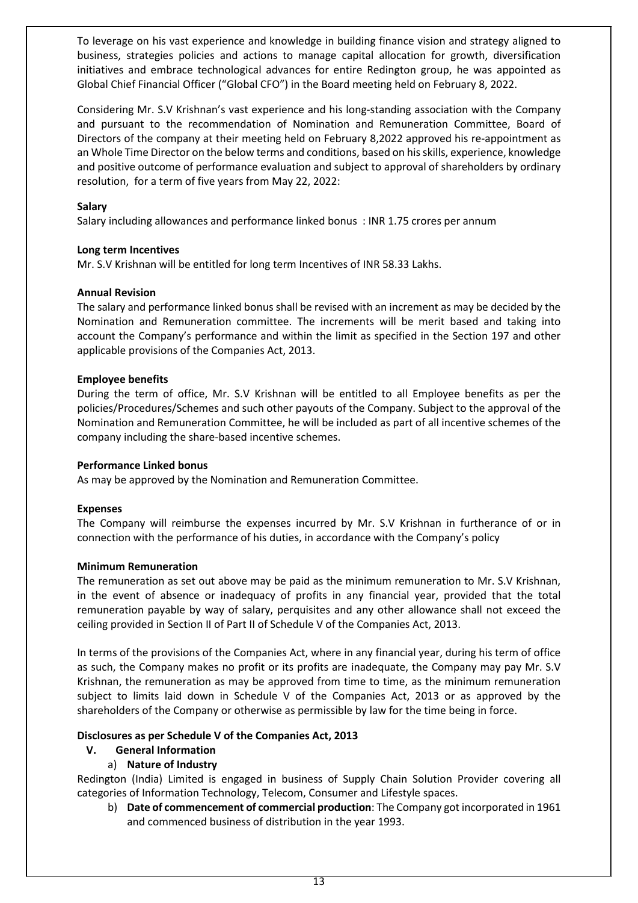To leverage on his vast experience and knowledge in building finance vision and strategy aligned to business, strategies policies and actions to manage capital allocation for growth, diversification initiatives and embrace technological advances for entire Redington group, he was appointed as Global Chief Financial Officer ("Global CFO") in the Board meeting held on February 8, 2022.

Considering Mr. S.V Krishnan's vast experience and his long-standing association with the Company and pursuant to the recommendation of Nomination and Remuneration Committee, Board of Directors of the company at their meeting held on February 8,2022 approved his re-appointment as an Whole Time Director on the below terms and conditions, based on his skills, experience, knowledge and positive outcome of performance evaluation and subject to approval of shareholders by ordinary resolution, for a term of five years from May 22, 2022:

# **Salary**

Salary including allowances and performance linked bonus : INR 1.75 crores per annum

# **Long term Incentives**

Mr. S.V Krishnan will be entitled for long term Incentives of INR 58.33 Lakhs.

## **Annual Revision**

The salary and performance linked bonus shall be revised with an increment as may be decided by the Nomination and Remuneration committee. The increments will be merit based and taking into account the Company's performance and within the limit as specified in the Section 197 and other applicable provisions of the Companies Act, 2013.

## **Employee benefits**

During the term of office, Mr. S.V Krishnan will be entitled to all Employee benefits as per the policies/Procedures/Schemes and such other payouts of the Company. Subject to the approval of the Nomination and Remuneration Committee, he will be included as part of all incentive schemes of the company including the share-based incentive schemes.

# **Performance Linked bonus**

As may be approved by the Nomination and Remuneration Committee.

## **Expenses**

The Company will reimburse the expenses incurred by Mr. S.V Krishnan in furtherance of or in connection with the performance of his duties, in accordance with the Company's policy

## **Minimum Remuneration**

The remuneration as set out above may be paid as the minimum remuneration to Mr. S.V Krishnan, in the event of absence or inadequacy of profits in any financial year, provided that the total remuneration payable by way of salary, perquisites and any other allowance shall not exceed the ceiling provided in Section II of Part II of Schedule V of the Companies Act, 2013.

In terms of the provisions of the Companies Act, where in any financial year, during his term of office as such, the Company makes no profit or its profits are inadequate, the Company may pay Mr. S.V Krishnan, the remuneration as may be approved from time to time, as the minimum remuneration subject to limits laid down in Schedule V of the Companies Act, 2013 or as approved by the shareholders of the Company or otherwise as permissible by law for the time being in force.

# **Disclosures as per Schedule V of the Companies Act, 2013**

- **V. General Information**
	- a) **Nature of Industry**

Redington (India) Limited is engaged in business of Supply Chain Solution Provider covering all categories of Information Technology, Telecom, Consumer and Lifestyle spaces.

b) **Date of commencement of commercial production**: The Company got incorporated in 1961 and commenced business of distribution in the year 1993.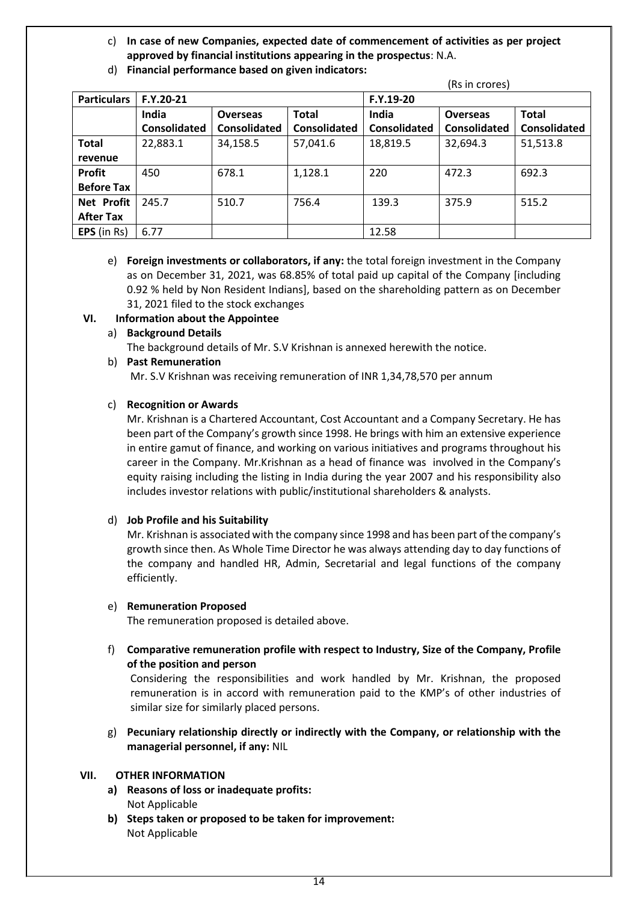c) **In case of new Companies, expected date of commencement of activities as per project approved by financial institutions appearing in the prospectus**: N.A.

|                    | (Rs in crores)      |                     |              |                     |                 |                     |
|--------------------|---------------------|---------------------|--------------|---------------------|-----------------|---------------------|
| <b>Particulars</b> | $F.Y.20-21$         |                     |              | F.Y.19-20           |                 |                     |
|                    | India               | <b>Overseas</b>     | <b>Total</b> | India               | <b>Overseas</b> | <b>Total</b>        |
|                    | <b>Consolidated</b> | <b>Consolidated</b> | Consolidated | <b>Consolidated</b> | Consolidated    | <b>Consolidated</b> |
| <b>Total</b>       | 22,883.1            | 34,158.5            | 57,041.6     | 18,819.5            | 32,694.3        | 51,513.8            |
| revenue            |                     |                     |              |                     |                 |                     |
| <b>Profit</b>      | 450                 | 678.1               | 1,128.1      | 220                 | 472.3           | 692.3               |
| <b>Before Tax</b>  |                     |                     |              |                     |                 |                     |
| <b>Net Profit</b>  | 245.7               | 510.7               | 756.4        | 139.3               | 375.9           | 515.2               |
| <b>After Tax</b>   |                     |                     |              |                     |                 |                     |
| EPS (in Rs)        | 6.77                |                     |              | 12.58               |                 |                     |

d) **Financial performance based on given indicators:**

e) **Foreign investments or collaborators, if any:** the total foreign investment in the Company as on December 31, 2021, was 68.85% of total paid up capital of the Company [including 0.92 % held by Non Resident Indians], based on the shareholding pattern as on December 31, 2021 filed to the stock exchanges

## **VI. Information about the Appointee**

a) **Background Details**

The background details of Mr. S.V Krishnan is annexed herewith the notice.

#### b) **Past Remuneration**

Mr. S.V Krishnan was receiving remuneration of INR 1,34,78,570 per annum

#### c) **Recognition or Awards**

Mr. Krishnan is a Chartered Accountant, Cost Accountant and a Company Secretary. He has been part of the Company's growth since 1998. He brings with him an extensive experience in entire gamut of finance, and working on various initiatives and programs throughout his career in the Company. Mr.Krishnan as a head of finance was involved in the Company's equity raising including the listing in India during the year 2007 and his responsibility also includes investor relations with public/institutional shareholders & analysts.

## d) **Job Profile and his Suitability**

Mr. Krishnan is associated with the company since 1998 and has been part of the company's growth since then. As Whole Time Director he was always attending day to day functions of the company and handled HR, Admin, Secretarial and legal functions of the company efficiently.

#### e) **Remuneration Proposed**

The remuneration proposed is detailed above.

f) **Comparative remuneration profile with respect to Industry, Size of the Company, Profile of the position and person**

Considering the responsibilities and work handled by Mr. Krishnan, the proposed remuneration is in accord with remuneration paid to the KMP's of other industries of similar size for similarly placed persons.

g) **Pecuniary relationship directly or indirectly with the Company, or relationship with the managerial personnel, if any:** NIL

#### **VII. OTHER INFORMATION**

- **a) Reasons of loss or inadequate profits:** Not Applicable
- **b) Steps taken or proposed to be taken for improvement:** Not Applicable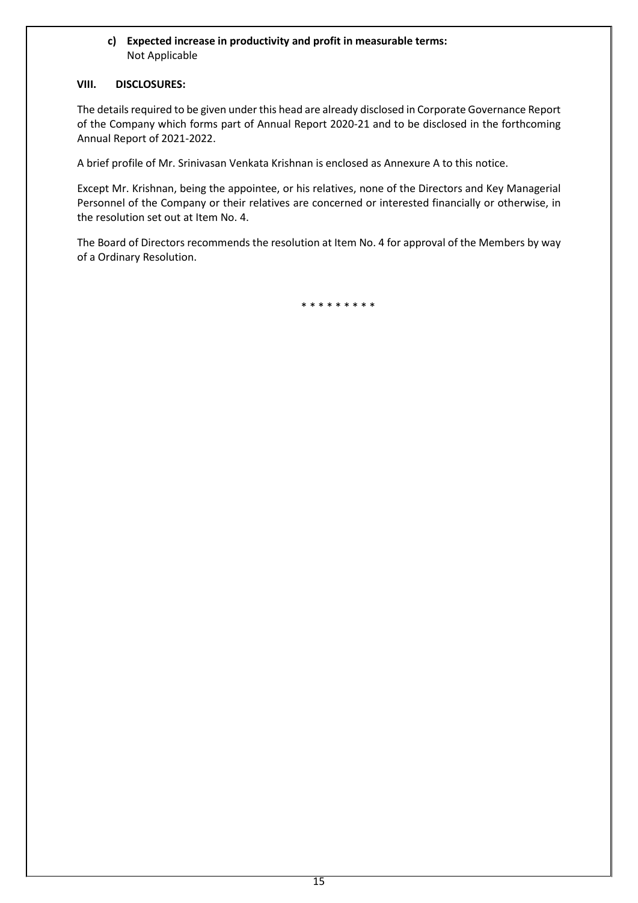# **c) Expected increase in productivity and profit in measurable terms:** Not Applicable

## **VIII. DISCLOSURES:**

The details required to be given under this head are already disclosed in Corporate Governance Report of the Company which forms part of Annual Report 2020-21 and to be disclosed in the forthcoming Annual Report of 2021-2022.

A brief profile of Mr. Srinivasan Venkata Krishnan is enclosed as Annexure A to this notice.

Except Mr. Krishnan, being the appointee, or his relatives, none of the Directors and Key Managerial Personnel of the Company or their relatives are concerned or interested financially or otherwise, in the resolution set out at Item No. 4.

The Board of Directors recommends the resolution at Item No. 4 for approval of the Members by way of a Ordinary Resolution.

\* \* \* \* \* \* \* \* \*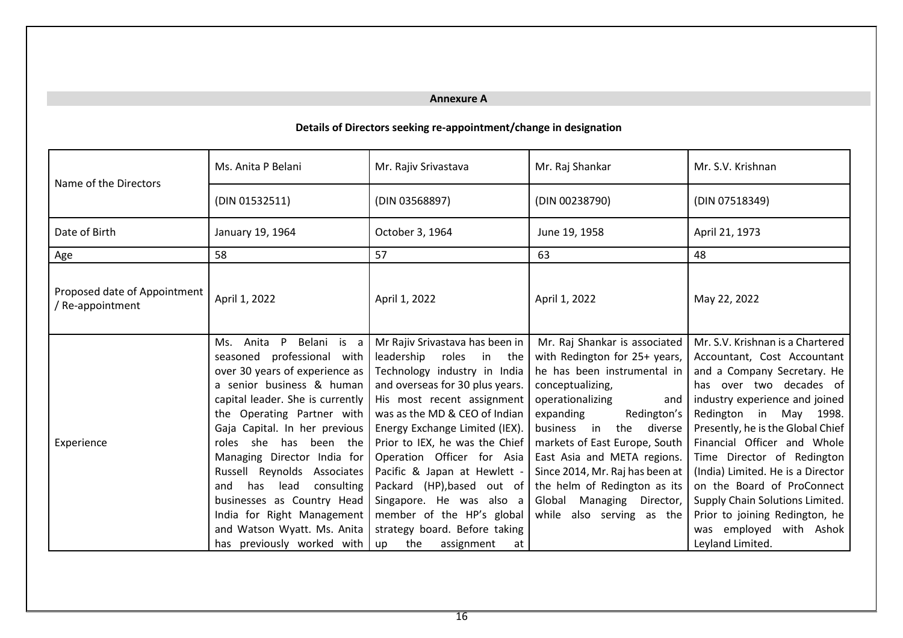# **Annexure A**

# **Details of Directors seeking re-appointment/change in designation**

| Name of the Directors                            | Ms. Anita P Belani                                                                                                                                                                                                                                                                                                                                                                                                                                                                                        | Mr. Rajiv Srivastava                                                                                                                                                                                                                                                                                                                                                                                                                                                                             | Mr. Raj Shankar                                                                                                                                                                                                                                                                                                                                                                                        | Mr. S.V. Krishnan                                                                                                                                                                                                                                                                                                                                                                                                                                                              |
|--------------------------------------------------|-----------------------------------------------------------------------------------------------------------------------------------------------------------------------------------------------------------------------------------------------------------------------------------------------------------------------------------------------------------------------------------------------------------------------------------------------------------------------------------------------------------|--------------------------------------------------------------------------------------------------------------------------------------------------------------------------------------------------------------------------------------------------------------------------------------------------------------------------------------------------------------------------------------------------------------------------------------------------------------------------------------------------|--------------------------------------------------------------------------------------------------------------------------------------------------------------------------------------------------------------------------------------------------------------------------------------------------------------------------------------------------------------------------------------------------------|--------------------------------------------------------------------------------------------------------------------------------------------------------------------------------------------------------------------------------------------------------------------------------------------------------------------------------------------------------------------------------------------------------------------------------------------------------------------------------|
|                                                  | (DIN 01532511)                                                                                                                                                                                                                                                                                                                                                                                                                                                                                            | (DIN 03568897)                                                                                                                                                                                                                                                                                                                                                                                                                                                                                   | (DIN 00238790)                                                                                                                                                                                                                                                                                                                                                                                         | (DIN 07518349)                                                                                                                                                                                                                                                                                                                                                                                                                                                                 |
| Date of Birth                                    | January 19, 1964                                                                                                                                                                                                                                                                                                                                                                                                                                                                                          | October 3, 1964                                                                                                                                                                                                                                                                                                                                                                                                                                                                                  | June 19, 1958                                                                                                                                                                                                                                                                                                                                                                                          | April 21, 1973                                                                                                                                                                                                                                                                                                                                                                                                                                                                 |
| Age                                              | 58                                                                                                                                                                                                                                                                                                                                                                                                                                                                                                        | 57                                                                                                                                                                                                                                                                                                                                                                                                                                                                                               | 63                                                                                                                                                                                                                                                                                                                                                                                                     | 48                                                                                                                                                                                                                                                                                                                                                                                                                                                                             |
| Proposed date of Appointment<br>/ Re-appointment | April 1, 2022                                                                                                                                                                                                                                                                                                                                                                                                                                                                                             | April 1, 2022                                                                                                                                                                                                                                                                                                                                                                                                                                                                                    | April 1, 2022                                                                                                                                                                                                                                                                                                                                                                                          | May 22, 2022                                                                                                                                                                                                                                                                                                                                                                                                                                                                   |
| Experience                                       | Belani is a<br>$\mathsf{P}$<br>Ms.<br>Anita<br>seasoned professional with<br>over 30 years of experience as<br>a senior business & human<br>capital leader. She is currently<br>the Operating Partner with<br>Gaja Capital. In her previous<br>been the<br>she<br>has<br>roles<br>Managing Director India for<br>Russell Reynolds Associates<br>has<br>lead<br>consulting<br>and<br>businesses as Country Head<br>India for Right Management<br>and Watson Wyatt. Ms. Anita<br>has previously worked with | Mr Rajiv Srivastava has been in<br>leadership<br>roles<br>in<br>the<br>Technology industry in India<br>and overseas for 30 plus years.<br>His most recent assignment<br>was as the MD & CEO of Indian<br>Energy Exchange Limited (IEX).<br>Prior to IEX, he was the Chief<br>Operation Officer for Asia<br>Pacific & Japan at Hewlett -<br>Packard (HP), based out of<br>Singapore. He was also a<br>member of the HP's global<br>strategy board. Before taking<br>the<br>up<br>assignment<br>at | Mr. Raj Shankar is associated<br>with Redington for 25+ years,<br>he has been instrumental in<br>conceptualizing,<br>operationalizing<br>and<br>expanding<br>Redington's<br>business in<br>the diverse<br>markets of East Europe, South<br>East Asia and META regions.<br>Since 2014, Mr. Raj has been at<br>the helm of Redington as its<br>Managing Director,<br>Global<br>while also serving as the | Mr. S.V. Krishnan is a Chartered<br>Accountant, Cost Accountant<br>and a Company Secretary. He<br>has over two decades of<br>industry experience and joined<br>Redington in May 1998.<br>Presently, he is the Global Chief<br>Financial Officer and Whole<br>Time Director of Redington<br>(India) Limited. He is a Director<br>on the Board of ProConnect<br>Supply Chain Solutions Limited.<br>Prior to joining Redington, he<br>was employed with Ashok<br>Leyland Limited. |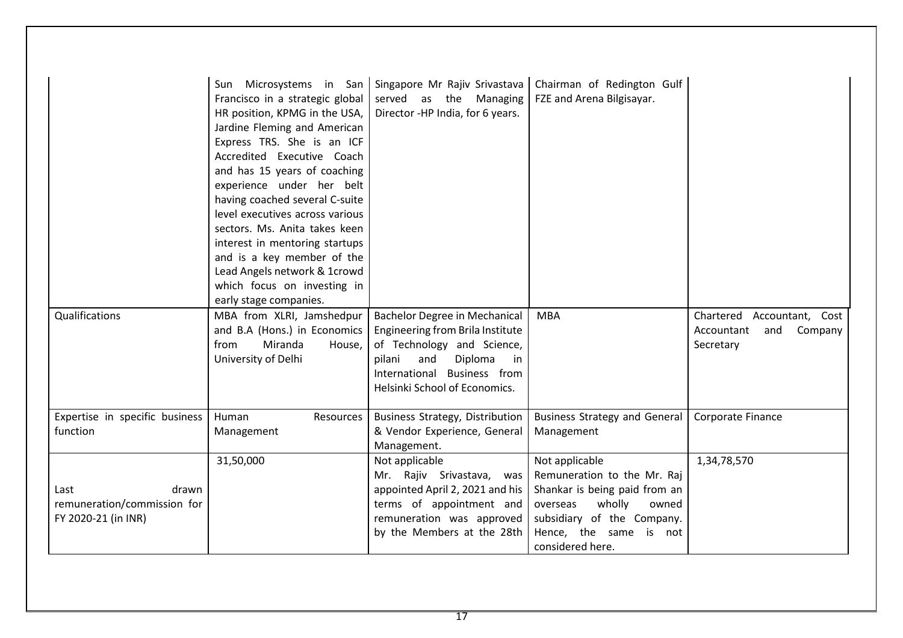|                                                                     | Francisco in a strategic global<br>HR position, KPMG in the USA,<br>Jardine Fleming and American<br>Express TRS. She is an ICF<br>Accredited Executive Coach<br>and has 15 years of coaching<br>experience under her belt<br>having coached several C-suite<br>level executives across various<br>sectors. Ms. Anita takes keen<br>interest in mentoring startups<br>and is a key member of the<br>Lead Angels network & 1crowd<br>which focus on investing in<br>early stage companies. | Sun Microsystems in San   Singapore Mr Rajiv Srivastava<br>served as the Managing<br>Director -HP India, for 6 years.                                                                                    | Chairman of Redington Gulf<br>FZE and Arena Bilgisayar.                                                                                                                                   |                                                                         |
|---------------------------------------------------------------------|------------------------------------------------------------------------------------------------------------------------------------------------------------------------------------------------------------------------------------------------------------------------------------------------------------------------------------------------------------------------------------------------------------------------------------------------------------------------------------------|----------------------------------------------------------------------------------------------------------------------------------------------------------------------------------------------------------|-------------------------------------------------------------------------------------------------------------------------------------------------------------------------------------------|-------------------------------------------------------------------------|
| Qualifications                                                      | MBA from XLRI, Jamshedpur<br>and B.A (Hons.) in Economics<br>from<br>Miranda<br>House,<br>University of Delhi                                                                                                                                                                                                                                                                                                                                                                            | <b>Bachelor Degree in Mechanical</b><br>Engineering from Brila Institute<br>of Technology and Science,<br>and<br>Diploma<br>pilani<br>in<br>International Business from<br>Helsinki School of Economics. | <b>MBA</b>                                                                                                                                                                                | Chartered Accountant, Cost<br>Accountant<br>and<br>Company<br>Secretary |
| Expertise in specific business<br>function                          | Human<br>Resources<br>Management                                                                                                                                                                                                                                                                                                                                                                                                                                                         | <b>Business Strategy, Distribution</b><br>& Vendor Experience, General<br>Management.                                                                                                                    | <b>Business Strategy and General</b><br>Management                                                                                                                                        | Corporate Finance                                                       |
| drawn<br>Last<br>remuneration/commission for<br>FY 2020-21 (in INR) | 31,50,000                                                                                                                                                                                                                                                                                                                                                                                                                                                                                | Not applicable<br>Mr. Rajiv Srivastava, was<br>appointed April 2, 2021 and his<br>terms of appointment and<br>remuneration was approved<br>by the Members at the 28th                                    | Not applicable<br>Remuneration to the Mr. Raj<br>Shankar is being paid from an<br>wholly<br>overseas<br>owned<br>subsidiary of the Company.<br>Hence, the same is not<br>considered here. | 1,34,78,570                                                             |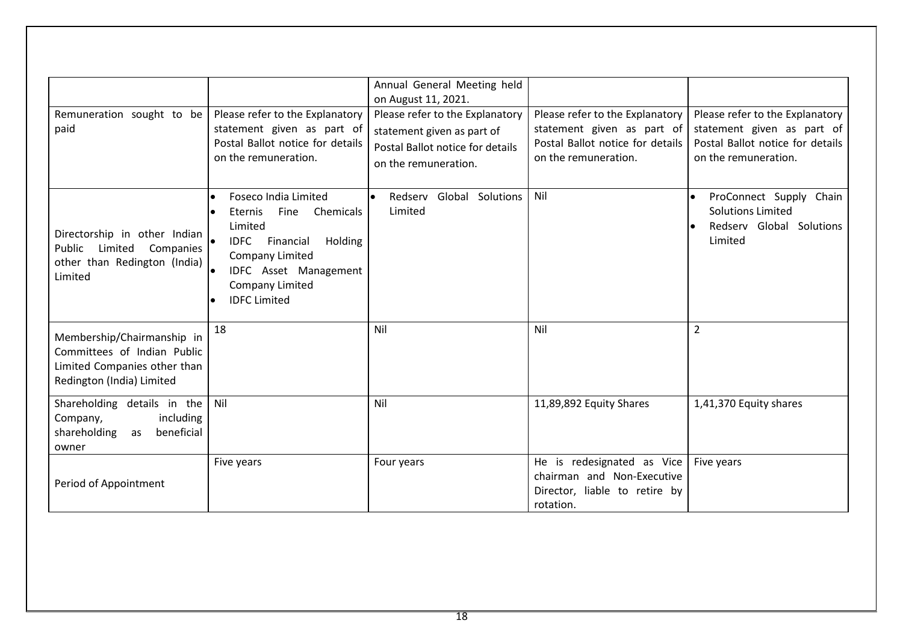|                                  |                                           | Annual General Meeting held       |                                  |                                  |
|----------------------------------|-------------------------------------------|-----------------------------------|----------------------------------|----------------------------------|
|                                  |                                           | on August 11, 2021.               |                                  |                                  |
| Remuneration sought to be        | Please refer to the Explanatory           | Please refer to the Explanatory   | Please refer to the Explanatory  | Please refer to the Explanatory  |
| paid                             | statement given as part of                | statement given as part of        | statement given as part of       | statement given as part of       |
|                                  | Postal Ballot notice for details          | Postal Ballot notice for details  | Postal Ballot notice for details | Postal Ballot notice for details |
|                                  | on the remuneration.                      | on the remuneration.              | on the remuneration.             | on the remuneration.             |
|                                  |                                           |                                   |                                  |                                  |
|                                  | Foseco India Limited<br>$\bullet$         | Redserv Global Solutions<br>l e i | Nil                              | ProConnect Supply Chain          |
|                                  | Fine<br>Chemicals<br>Eternis<br>$\bullet$ | Limited                           |                                  | <b>Solutions Limited</b>         |
| Directorship in other Indian     | Limited                                   |                                   |                                  | Redserv Global Solutions         |
| Public<br>Limited<br>Companies   | <b>IDFC</b><br>Financial<br>Holding       |                                   |                                  | Limited                          |
| other than Redington (India)     | Company Limited                           |                                   |                                  |                                  |
| Limited                          | $\bullet$<br><b>IDFC</b> Asset Management |                                   |                                  |                                  |
|                                  | Company Limited                           |                                   |                                  |                                  |
|                                  | <b>IDFC Limited</b><br>$\bullet$          |                                   |                                  |                                  |
|                                  | 18                                        | Nil                               | Nil                              | $\overline{2}$                   |
| Membership/Chairmanship in       |                                           |                                   |                                  |                                  |
| Committees of Indian Public      |                                           |                                   |                                  |                                  |
| Limited Companies other than     |                                           |                                   |                                  |                                  |
| Redington (India) Limited        |                                           |                                   |                                  |                                  |
| Shareholding details in the      | Nil                                       | Nil                               | 11,89,892 Equity Shares          | 1,41,370 Equity shares           |
| Company,<br>including            |                                           |                                   |                                  |                                  |
| beneficial<br>shareholding<br>as |                                           |                                   |                                  |                                  |
| owner                            |                                           |                                   |                                  |                                  |
|                                  | Five years                                | Four years                        | He is redesignated as Vice       | Five years                       |
| Period of Appointment            |                                           |                                   | chairman and Non-Executive       |                                  |
|                                  |                                           |                                   | Director, liable to retire by    |                                  |
|                                  |                                           |                                   | rotation.                        |                                  |